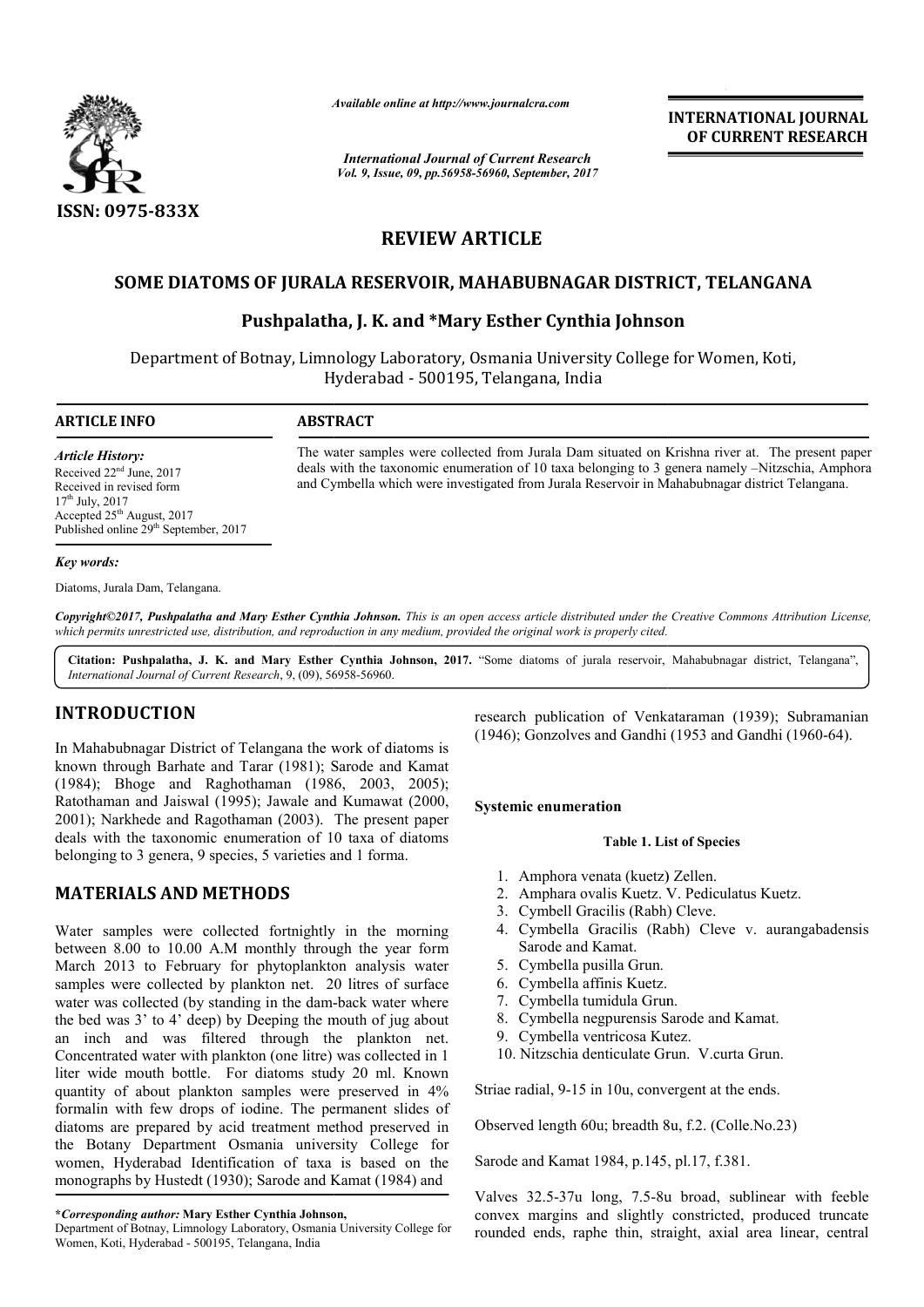

*Available online at http://www.journal http://www.journalcra.com*

*International Journal of Current Research Vol. 9, Issue, 09, pp.56958-56960, September, 2017* **INTERNATIONAL JOURNAL OF CURRENT RESEARCH** 

# **REVIEW ARTICLE**

# SOME DIATOMS OF JURALA RESERVOIR, MAHABUBNAGAR DISTRICT, TELANGANA<br>Pushpalatha, J. K. and \*Mary Esther Cynthia Johnson

## **Pushpalatha Pushpalatha, J. K. and \*Mary Esther Cynthia Johnson**

Department of Botnay, Limnology Laboratory, Osmania University College for Women, Koti, Hyderabad - 500195, Telangana, India

#### **ARTICLE INFO ABSTRACT**

*Article History:* Received 22<sup>nd</sup> June, 2017 Received in revised form  $17^{th}$  July,  $2017$ Accepted 25<sup>th</sup> August, 2017 Published online 29<sup>th</sup> September, 2017

#### *Key words:*

Diatoms, Jurala Dam, Telangana.

Copyright©2017, Pushpalatha and Mary Esther Cynthia Johnson. This is an open access article distributed under the Creative Commons Attribution License, which permits unrestricted use, distribution, and reproduction in any medium, provided the original work is properly cited.

Citation: Pushpalatha, J. K. and Mary Esther Cynthia Johnson, 2017. "Some diatoms of jurala reservoir, Mahabubnagar district, Telangana", *International Journal of Current Research*, 9, (09), 56958 56958-56960.

# **INTRODUCTION**

In Mahabubnagar District of Telangana the work of diatoms is known through Barhate and Tarar (1981); Sarode and Kamat (1984); Bhoge and Raghothaman (1986, 2003, 2005); Ratothaman and Jaiswal (1995); Jawale and Kumawat (2000, 2001); Narkhede and Ragothaman (2003). The present paper deals with the taxonomic enumeration of 10 taxa of diatoms belonging to 3 genera, 9 species, 5 varieties and 1 forma.

# **MATERIALS AND METHODS**

Water samples were collected fortnightly in the morning between 8.00 to 10.00 A.M monthly through the year form March 2013 to February for phytoplankton analysis water samples were collected by plankton net. 20 litres of surface water was collected (by standing in the dam-back water where the bed was 3' to 4' deep) by Deeping the mouth of jug about an inch and was filtered through the plankton net. Concentrated water with plankton (one litre) was collected in 1 Concentrated water with plankton (one litre) was collected in 1 liter wide mouth bottle. For diatoms study 20 ml. Known quantity of about plankton samples were preserved in 4% formalin with few drops of iodine. The permanent slides of diatoms are prepared by acid treatment method preserved in the Botany Department Osmania university College for women, Hyderabad Identification of taxa is based on the monographs by Hustedt (1930); Sarode and Kamat (1984) and research publication of Venkataraman (1939); Subramanian (1946); Gonzolves and Gandhi (1953 and Gandhi (1960-64).<br>
Sarode and Kamat<br>
Sarode and Kumawat (2000, Systemic enumeration<br>
The present paper<br>
10 taxa of diatoms Tab

**\****Corresponding author:* **Mary Esther Cynthia Johnson,**

(1946); Gonzolves and Gandhi (1953 and Gandhi (1960 (1960-64).

#### **Systemic enumeration**

#### **Table 1. List of Species**

- 1. Amphora venata (kuetz) Zellen.
- 2. Amphara ovalis Kuetz. V. Pediculatus Kuetz. Amphora venata (kuetz) Zellen.<br>Amphara ovalis Kuetz. V. Pediculatus<br>Cymbell Gracilis (Rabh) Cleve.
- 3. Cymbell Gracilis (Rabh) Cleve.
- 4. Cymbella Gracilis (Rabh) Cleve v. aurangabadensis Sarode and Kamat.
- 5. Cymbella pusilla Grun.

The water samples were collected from Jurala Dam situated on Krishna river at. The present paper deals with the taxonomic enumeration of 10 taxa belonging to 3 genera namely -Nitzschia, Amphora and Cymbella which were investigated from Jurala Reservoir in Mahabubnagar district Telangana.

- 6. Cymbella affinis Kuetz.
- 7. Cymbella tumidula Grun.
- 8. Cymbella negpurensis Sarode and Kamat.
- 9. Cymbella ventricosa Kutez.
- 10. Nitzschia denticulate Grun. V.curta Grun.

Striae radial, 9-15 in 10u, convergent at the ends.

Striae radial, 9-15 in 10u, convergent at the ends.<br>Observed length 60u; breadth 8u, f.2. (Colle.No.23)

Sarode and Kamat 1984, p.145, pl.17, f.381. 1984, p.145,

Valves 32.5-37u long, 7.5-8u broad, sublinear with feeble convex margins and slightly constricted, produced truncate rounded ends, raphe thin, straight, axial area linear, central **INTERNATIONAL JOURNAL OF CURRENT RESEARCH CONTRENT RESEARCH (SCIPT)<br>
DISTRICT, TELANGANA<br>
Johnson**<br>
College for Women, Koti,<br>
atted on Krishna river at. The present paper<br>
ing to 3 genera namely -Nitzschia, Amphora<br>
voir

Department of Botnay, Limnology Laboratory, Osmania University College for Women, Koti, Hyderabad - 500195, Telangana, India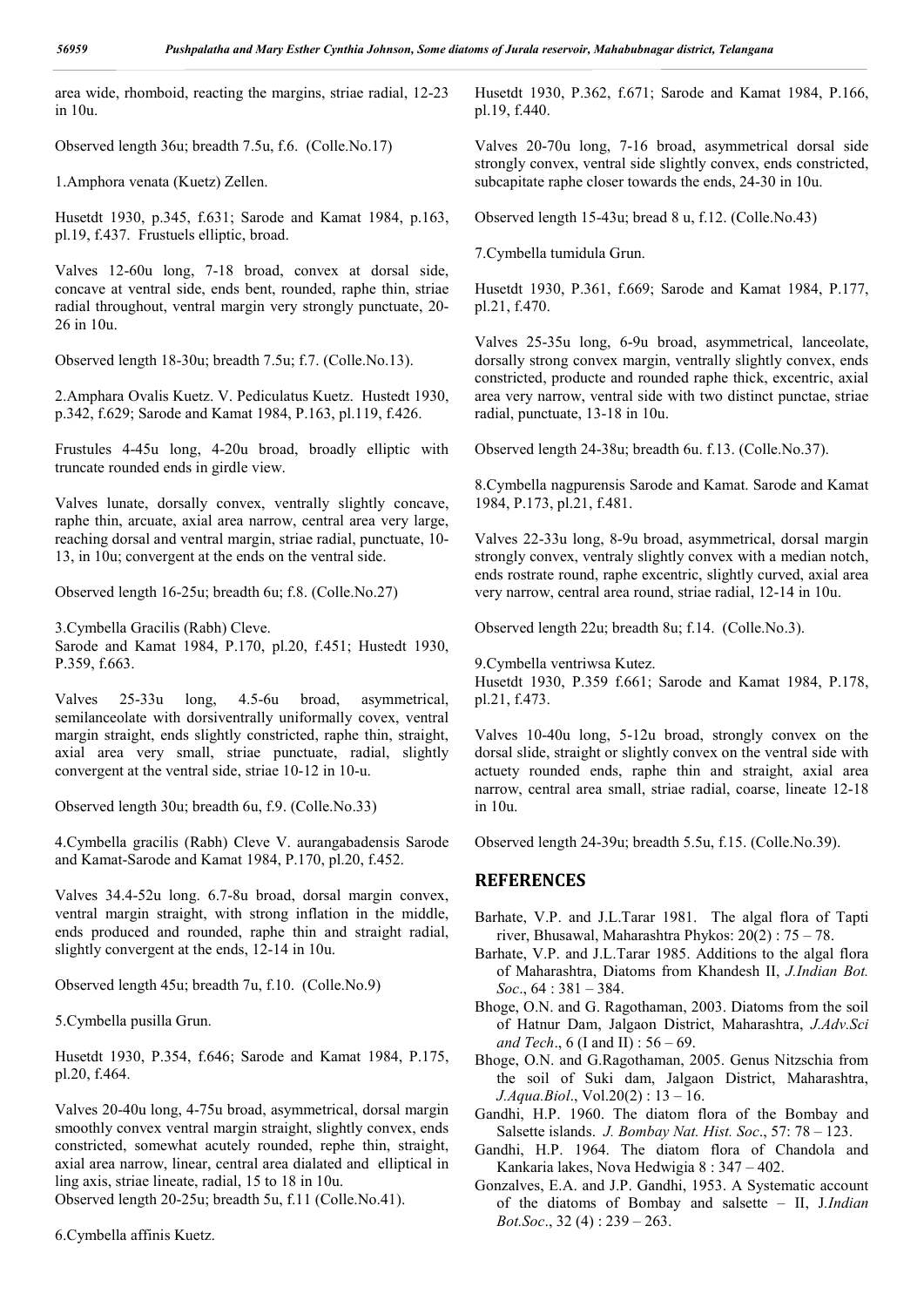area wide, rhomboid, reacting the margins, striae radial, 12-23 in 10u.

Observed length 36u; breadth 7.5u, f.6. (Colle.No.17)

1.Amphora venata (Kuetz) Zellen.

Husetdt 1930, p.345, f.631; Sarode and Kamat 1984, p.163, pl.19, f.437. Frustuels elliptic, broad.

Valves 12-60u long, 7-18 broad, convex at dorsal side, concave at ventral side, ends bent, rounded, raphe thin, striae radial throughout, ventral margin very strongly punctuate, 20- 26 in 10u.

Observed length 18-30u; breadth 7.5u; f.7. (Colle.No.13).

2.Amphara Ovalis Kuetz. V. Pediculatus Kuetz. Hustedt 1930, p.342, f.629; Sarode and Kamat 1984, P.163, pl.119, f.426.

Frustules 4-45u long, 4-20u broad, broadly elliptic with truncate rounded ends in girdle view.

Valves lunate, dorsally convex, ventrally slightly concave, raphe thin, arcuate, axial area narrow, central area very large, reaching dorsal and ventral margin, striae radial, punctuate, 10- 13, in 10u; convergent at the ends on the ventral side.

Observed length 16-25u; breadth 6u; f.8. (Colle.No.27)

3.Cymbella Gracilis (Rabh) Cleve.

Sarode and Kamat 1984, P.170, pl.20, f.451; Hustedt 1930, P.359, f.663.

Valves 25-33u long, 4.5-6u broad, asymmetrical, semilanceolate with dorsiventrally uniformally covex, ventral margin straight, ends slightly constricted, raphe thin, straight, axial area very small, striae punctuate, radial, slightly convergent at the ventral side, striae 10-12 in 10-u.

Observed length 30u; breadth 6u, f.9. (Colle.No.33)

4.Cymbella gracilis (Rabh) Cleve V. aurangabadensis Sarode and Kamat-Sarode and Kamat 1984, P.170, pl.20, f.452.

Valves 34.4-52u long. 6.7-8u broad, dorsal margin convex, ventral margin straight, with strong inflation in the middle, ends produced and rounded, raphe thin and straight radial, slightly convergent at the ends, 12-14 in 10u.

Observed length 45u; breadth 7u, f.10. (Colle.No.9)

5.Cymbella pusilla Grun.

Husetdt 1930, P.354, f.646; Sarode and Kamat 1984, P.175, pl.20, f.464.

Valves 20-40u long, 4-75u broad, asymmetrical, dorsal margin smoothly convex ventral margin straight, slightly convex, ends constricted, somewhat acutely rounded, rephe thin, straight, axial area narrow, linear, central area dialated and elliptical in ling axis, striae lineate, radial, 15 to 18 in 10u.

Observed length 20-25u; breadth 5u, f.11 (Colle.No.41).

6.Cymbella affinis Kuetz.

Husetdt 1930, P.362, f.671; Sarode and Kamat 1984, P.166, pl.19, f.440.

Valves 20-70u long, 7-16 broad, asymmetrical dorsal side strongly convex, ventral side slightly convex, ends constricted, subcapitate raphe closer towards the ends, 24-30 in 10u.

Observed length 15-43u; bread 8 u, f.12. (Colle.No.43)

7.Cymbella tumidula Grun.

Husetdt 1930, P.361, f.669; Sarode and Kamat 1984, P.177, pl.21, f.470.

Valves 25-35u long, 6-9u broad, asymmetrical, lanceolate, dorsally strong convex margin, ventrally slightly convex, ends constricted, producte and rounded raphe thick, excentric, axial area very narrow, ventral side with two distinct punctae, striae radial, punctuate, 13-18 in 10u.

Observed length 24-38u; breadth 6u. f.13. (Colle.No.37).

8.Cymbella nagpurensis Sarode and Kamat. Sarode and Kamat 1984, P.173, pl.21, f.481.

Valves 22-33u long, 8-9u broad, asymmetrical, dorsal margin strongly convex, ventraly slightly convex with a median notch, ends rostrate round, raphe excentric, slightly curved, axial area very narrow, central area round, striae radial, 12-14 in 10u.

Observed length 22u; breadth 8u; f.14. (Colle.No.3).

9.Cymbella ventriwsa Kutez. Husetdt 1930, P.359 f.661; Sarode and Kamat 1984, P.178, pl.21, f.473.

Valves 10-40u long, 5-12u broad, strongly convex on the dorsal slide, straight or slightly convex on the ventral side with actuety rounded ends, raphe thin and straight, axial area narrow, central area small, striae radial, coarse, lineate 12-18 in 10u.

Observed length 24-39u; breadth 5.5u, f.15. (Colle.No.39).

### **REFERENCES**

- Barhate, V.P. and J.L.Tarar 1981. The algal flora of Tapti river, Bhusawal, Maharashtra Phykos: 20(2) : 75 – 78.
- Barhate, V.P. and J.L.Tarar 1985. Additions to the algal flora of Maharashtra, Diatoms from Khandesh II, *J.Indian Bot. Soc*., 64 : 381 – 384.
- Bhoge, O.N. and G. Ragothaman, 2003. Diatoms from the soil of Hatnur Dam, Jalgaon District, Maharashtra, *J.Adv.Sci and Tech*., 6 (I and II) : 56 – 69.
- Bhoge, O.N. and G.Ragothaman, 2005. Genus Nitzschia from the soil of Suki dam, Jalgaon District, Maharashtra, *J.Aqua.Biol*., Vol.20(2) : 13 – 16.
- Gandhi, H.P. 1960. The diatom flora of the Bombay and Salsette islands. *J. Bombay Nat. Hist. Soc*., 57: 78 – 123.
- Gandhi, H.P. 1964. The diatom flora of Chandola and Kankaria lakes, Nova Hedwigia 8 : 347 – 402.
- Gonzalves, E.A. and J.P. Gandhi, 1953. A Systematic account of the diatoms of Bombay and salsette – II, J*.Indian Bot.Soc*., 32 (4) : 239 – 263.